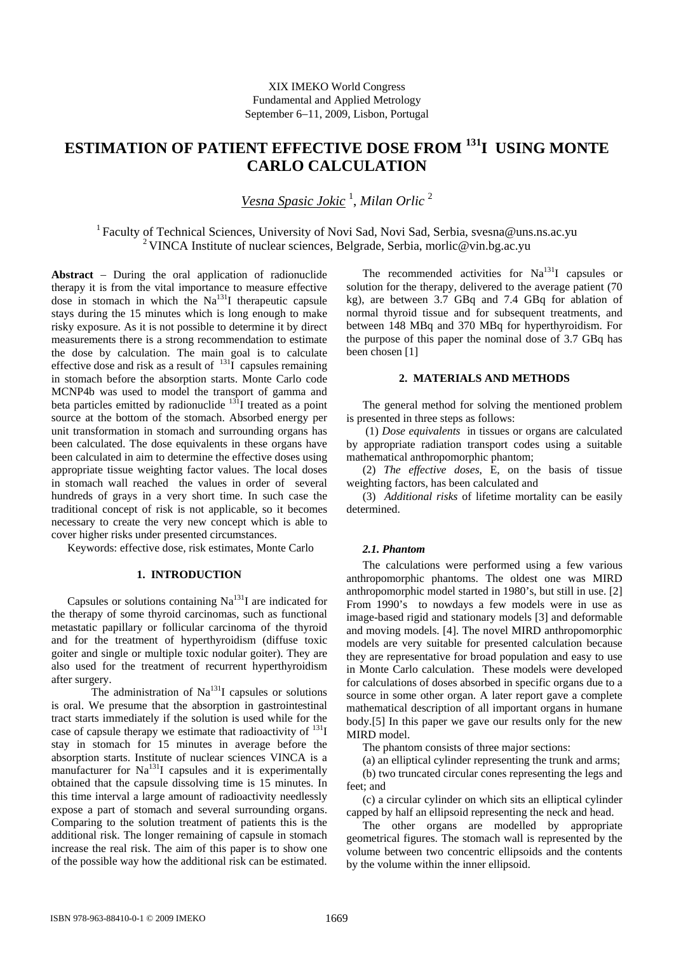# **ESTIMATION OF PATIENT EFFECTIVE DOSE FROM 131I USING MONTE CARLO CALCULATION**

*Vesna Spasic Jokic* <sup>1</sup> , *Milan Orlic* <sup>2</sup>

1 Faculty of Technical Sciences, University of Novi Sad, Novi Sad, Serbia, svesna@uns.ns.ac.yu <sup>2</sup> VINCA Institute of nuclear sciences, Belgrade, Serbia, morlic@vin.bg.ac.yu

**Abstract** − During the oral application of radionuclide therapy it is from the vital importance to measure effective dose in stomach in which the  $Na<sup>131</sup>I$  therapeutic capsule stays during the 15 minutes which is long enough to make risky exposure. As it is not possible to determine it by direct measurements there is a strong recommendation to estimate the dose by calculation. The main goal is to calculate effective dose and risk as a result of  $^{131}I$  capsules remaining in stomach before the absorption starts. Monte Carlo code MCNP4b was used to model the transport of gamma and beta particles emitted by radionuclide  $131$  treated as a point source at the bottom of the stomach. Absorbed energy per unit transformation in stomach and surrounding organs has been calculated. The dose equivalents in these organs have been calculated in aim to determine the effective doses using appropriate tissue weighting factor values. The local doses in stomach wall reached the values in order of several hundreds of grays in a very short time. In such case the traditional concept of risk is not applicable, so it becomes necessary to create the very new concept which is able to cover higher risks under presented circumstances.

Keywords: effective dose, risk estimates, Monte Carlo

## **1. INTRODUCTION**

Capsules or solutions containing  $Na<sup>131</sup>I$  are indicated for the therapy of some thyroid carcinomas, such as functional metastatic papillary or follicular carcinoma of the thyroid and for the treatment of hyperthyroidism (diffuse toxic goiter and single or multiple toxic nodular goiter). They are also used for the treatment of recurrent hyperthyroidism after surgery.

The administration of  $Na<sup>131</sup>I$  capsules or solutions is oral. We presume that the absorption in gastrointestinal tract starts immediately if the solution is used while for the case of capsule therapy we estimate that radioactivity of  $^{131}I$ stay in stomach for 15 minutes in average before the absorption starts. Institute of nuclear sciences VINCA is a manufacturer for  $Na<sup>131</sup>I$  capsules and it is experimentally obtained that the capsule dissolving time is 15 minutes. In this time interval a large amount of radioactivity needlessly expose a part of stomach and several surrounding organs. Comparing to the solution treatment of patients this is the additional risk. The longer remaining of capsule in stomach increase the real risk. The aim of this paper is to show one of the possible way how the additional risk can be estimated.

The recommended activities for  $Na<sup>131</sup>I$  capsules or solution for the therapy, delivered to the average patient (70 kg), are between 3.7 GBq and 7.4 GBq for ablation of normal thyroid tissue and for subsequent treatments, and between 148 MBq and 370 MBq for hyperthyroidism. For the purpose of this paper the nominal dose of 3.7 GBq has been chosen [1]

## **2. MATERIALS AND METHODS**

The general method for solving the mentioned problem is presented in three steps as follows:

 (1) *Dose equivalents* in tissues or organs are calculated by appropriate radiation transport codes using a suitable mathematical anthropomorphic phantom;

(2) *The effective doses*, E, on the basis of tissue weighting factors, has been calculated and

(3) *Additional risks* of lifetime mortality can be easily determined.

## *2.1. Phantom*

The calculations were performed using a few various anthropomorphic phantoms. The oldest one was MIRD anthropomorphic model started in 1980's, but still in use. [2] From 1990's to nowdays a few models were in use as image-based rigid and stationary models [3] and deformable and moving models. [4]. The novel MIRD anthropomorphic models are very suitable for presented calculation because they are representative for broad population and easy to use in Monte Carlo calculation. These models were developed for calculations of doses absorbed in specific organs due to a source in some other organ. A later report gave a complete mathematical description of all important organs in humane body.[5] In this paper we gave our results only for the new MIRD model.

The phantom consists of three major sections:

(a) an elliptical cylinder representing the trunk and arms;

(b) two truncated circular cones representing the legs and feet; and

(c) a circular cylinder on which sits an elliptical cylinder capped by half an ellipsoid representing the neck and head.

The other organs are modelled by appropriate geometrical figures. The stomach wall is represented by the volume between two concentric ellipsoids and the contents by the volume within the inner ellipsoid.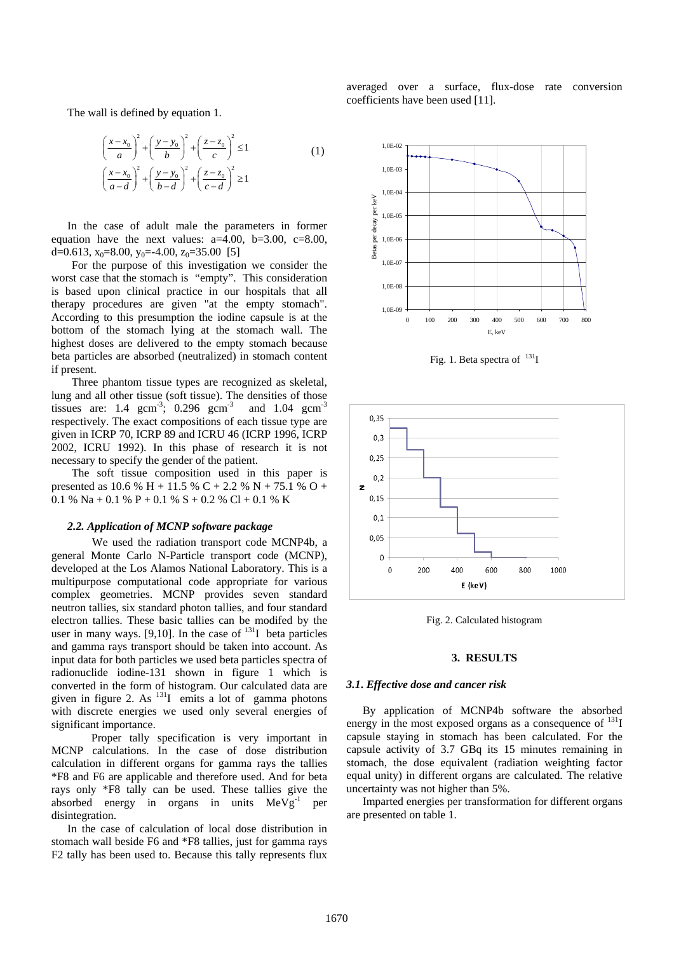The wall is defined by equation 1.

$$
\left(\frac{x-x_0}{a}\right)^2 + \left(\frac{y-y_0}{b}\right)^2 + \left(\frac{z-z_0}{c}\right)^2 \le 1
$$
\n
$$
\left(\frac{x-x_0}{a-d}\right)^2 + \left(\frac{y-y_0}{b-d}\right)^2 + \left(\frac{z-z_0}{c-d}\right)^2 \ge 1
$$
\n(1)

In the case of adult male the parameters in former equation have the next values: a=4.00, b=3.00, c=8.00, d=0.613,  $x_0$ =8.00,  $y_0$ =-4.00,  $z_0$ =35.00 [5]

For the purpose of this investigation we consider the worst case that the stomach is "empty". This consideration is based upon clinical practice in our hospitals that all therapy procedures are given "at the empty stomach". According to this presumption the iodine capsule is at the bottom of the stomach lying at the stomach wall. The highest doses are delivered to the empty stomach because beta particles are absorbed (neutralized) in stomach content if present.

Three phantom tissue types are recognized as skeletal, lung and all other tissue (soft tissue). The densities of those tissues are: 1.4 gcm<sup>-3</sup>; 0.296 gcm<sup>-3</sup> and 1.04 gcm<sup>-3</sup> respectively. The exact compositions of each tissue type are given in ICRP 70, ICRP 89 and ICRU 46 (ICRP 1996, ICRP 2002, ICRU 1992). In this phase of research it is not necessary to specify the gender of the patient.

The soft tissue composition used in this paper is presented as 10.6 % H + 11.5 % C + 2.2 % N + 75.1 % O + 0.1 % Na + 0.1 % P + 0.1 % S + 0.2 % Cl + 0.1 % K

## *2.2. Application of MCNP software package*

We used the radiation transport code MCNP4b, a general Monte Carlo N-Particle transport code (MCNP), developed at the Los Alamos National Laboratory. This is a multipurpose computational code appropriate for various complex geometries. MCNP provides seven standard neutron tallies, six standard photon tallies, and four standard electron tallies. These basic tallies can be modifed by the user in many ways. [9,10]. In the case of  $^{131}$ I beta particles and gamma rays transport should be taken into account. As input data for both particles we used beta particles spectra of radionuclide iodine-131 shown in figure 1 which is converted in the form of histogram. Our calculated data are given in figure 2. As  $^{131}I$  emits a lot of gamma photons with discrete energies we used only several energies of significant importance.

Proper tally specification is very important in MCNP calculations. In the case of dose distribution calculation in different organs for gamma rays the tallies \*F8 and F6 are applicable and therefore used. And for beta rays only \*F8 tally can be used. These tallies give the absorbed energy in organs in units  $MeVg^{-1}$  per disintegration.

In the case of calculation of local dose distribution in stomach wall beside F6 and \*F8 tallies, just for gamma rays F2 tally has been used to. Because this tally represents flux averaged over a surface, flux-dose rate conversion coefficients have been used [11].



Fig. 1. Beta spectra of  $^{131}I$ 



Fig. 2. Calculated histogram

#### **3. RESULTS**

#### *3.1***.** *Effective dose and cancer risk*

By application of MCNP4b software the absorbed energy in the most exposed organs as a consequence of <sup>131</sup>I capsule staying in stomach has been calculated. For the capsule activity of 3.7 GBq its 15 minutes remaining in stomach, the dose equivalent (radiation weighting factor equal unity) in different organs are calculated. The relative uncertainty was not higher than 5%.

Imparted energies per transformation for different organs are presented on table 1.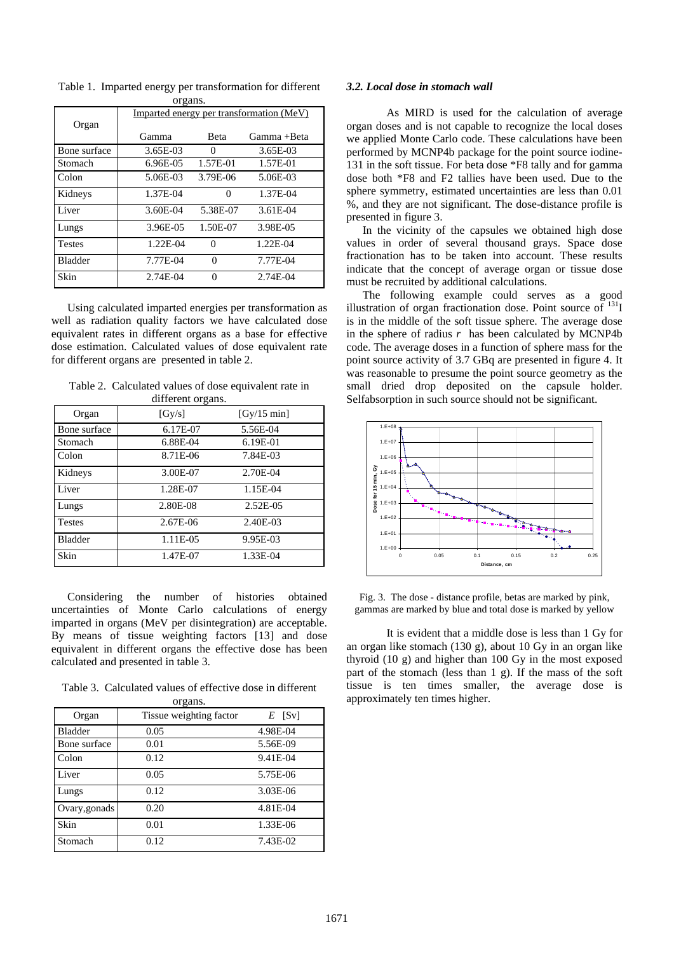| UI gans.       |                                          |          |             |  |  |
|----------------|------------------------------------------|----------|-------------|--|--|
|                | Imparted energy per transformation (MeV) |          |             |  |  |
| Organ          |                                          |          |             |  |  |
|                | Gamma                                    | Beta     | Gamma +Beta |  |  |
| Bone surface   | 3.65E-03                                 | $\theta$ | 3.65E-03    |  |  |
| Stomach        | $6.96E-0.5$                              | 1.57E-01 | 1.57E-01    |  |  |
| Colon          | 5.06E-03                                 | 3.79E-06 | 5.06E-03    |  |  |
| Kidneys        | 1.37E-04                                 | 0        | 1.37E-04    |  |  |
| Liver          | 3.60E-04                                 | 5.38E-07 | 3.61E-04    |  |  |
| Lungs          | 3.96E-05                                 | 1.50E-07 | 3.98E-05    |  |  |
| <b>Testes</b>  | 1.22E-04                                 | 0        | 1.22E-04    |  |  |
| <b>Bladder</b> | 7.77E-04                                 | $\Omega$ | 7.77E-04    |  |  |
| Skin           | 2.74E-04                                 | 0        | 2.74E-04    |  |  |

Table 1. Imparted energy per transformation for different organs.

Using calculated imparted energies per transformation as well as radiation quality factors we have calculated dose equivalent rates in different organs as a base for effective dose estimation. Calculated values of dose equivalent rate for different organs are presented in table 2.

Table 2. Calculated values of dose equivalent rate in

|                | different organs. |             |
|----------------|-------------------|-------------|
| Organ          | [Gy/s]            | [Gy/15 min] |
| Bone surface   | 6.17E-07          | 5.56E-04    |
| Stomach        | 6.88E-04          | 6.19E-01    |
| Colon          | 8.71E-06          | 7.84E-03    |
| Kidneys        | 3.00E-07          | 2.70E-04    |
| Liver          | 1.28E-07          | 1.15E-04    |
| Lungs          | 2.80E-08          | 2.52E-05    |
| <b>Testes</b>  | 2.67E-06          | 2.40E-03    |
| <b>Bladder</b> | 1.11E-05          | 9.95E-03    |
| Skin           | 1.47E-07          | 1.33E-04    |

Considering the number of histories obtained uncertainties of Monte Carlo calculations of energy imparted in organs (MeV per disintegration) are acceptable. By means of tissue weighting factors [13] and dose equivalent in different organs the effective dose has been ca lculated and presented in table 3.

Table 3. Calculated values of effective dose in different organs.

| $\mathsf{u},\mathsf{u}$ |                         |          |  |  |
|-------------------------|-------------------------|----------|--|--|
| Organ                   | Tissue weighting factor | $E$ [Sv] |  |  |
| <b>Bladder</b>          | 0.05                    | 4.98E-04 |  |  |
| Bone surface            | 0.01                    | 5.56E-09 |  |  |
| Colon                   | 0.12                    | 9.41E-04 |  |  |
| Liver                   | 0.05                    | 5.75E-06 |  |  |
| Lungs                   | 0.12                    | 3.03E-06 |  |  |
| Ovary, gonads           | 0.20                    | 4.81E-04 |  |  |
| Skin                    | 0.01                    | 1.33E-06 |  |  |
| Stomach                 | 0.12                    | 7.43E-02 |  |  |

## *3.2. Loc al dose in stomach wall*

sphere symmetry, estimated uncertainties are less than 0.01 %, and they are not significant. The dose-distance profile is As MIRD is used for the calculation of average organ doses and is not capable to recognize the local doses we applied Monte Carlo code. These calculations have been performed by MCNP4b package for the point source iodine-131 in the soft tissue. For beta dose \*F8 tally and for gamma dose both \*F8 and F2 tallies have been used. Due to the presented in figure 3.

fractionation has to be taken into account. These results ind icate that the concept of average organ or tissue dose In the vicinity of the capsules we obtained high dose values in order of several thousand grays. Space dose must be recruited by additional calculations.

was reasonable to presume the point source geometry as the small dried drop deposited on the capsule holder. Selfabsorption in such source should not be significant. The following example could serves as a good illustration of organ fractionation dose. Point source of  $^{131}I$ is in the middle of the soft tissue sphere. The average dose in the sphere of radius *r* has been calculated by MCNP4b code. The average doses in a function of sphere mass for the point source activity of 3.7 GBq are presented in figure 4. It



Fig. 3. The dose - distance profile, betas are marked by pink, gamma s are marked by blue and total dose is marked by yellow

part of the stomach (less than 1 g). If the mass of the soft tissue is ten times smaller, the average dose is approximately ten times higher. It is evident that a middle dose is less than 1 Gy for an organ like stomach (130 g), about 10 Gy in an organ like thyroid (10 g) and higher than 100 Gy in the most exposed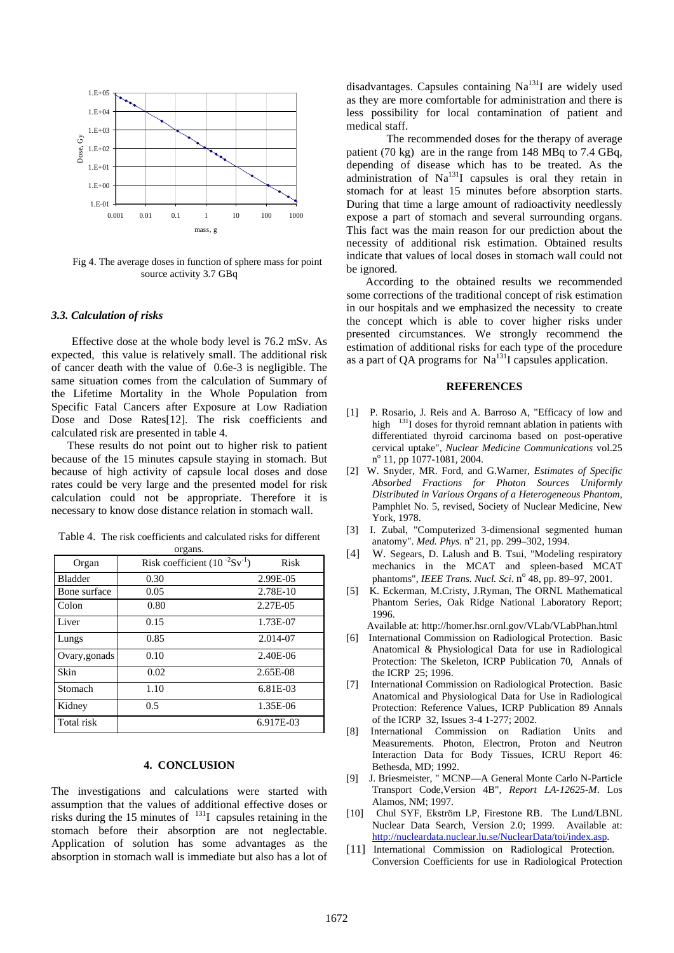

Fig 4. The average doses in function of sphere mass for point source activity 3.7 GBq

## *3.3. Calculation of risks*

Effective dose at the whole body level is 76.2 mSv. As expected, this value is relatively small. The additional risk of cancer death with the value of 0.6e-3 is negligible. The same situation comes from the calculation of Summary of the Lifetime Mortality in the Whole Population from Specific Fatal Cancers after Exposure at Low Radiation Dose and Dose Rates[12]. The risk coefficients and calculated risk are presented in table 4.

These results do not point out to higher risk to patient because of the 15 minutes capsule staying in stomach. But because of high activity of capsule local doses and dose rates could be very large and the presented model for risk calculation could not be appropriate. Therefore it is necessary to know dose distance relation in stomach wall.

| Organ          | Risk coefficient $(10^{-2}Sv^{-1})$ | Risk      |
|----------------|-------------------------------------|-----------|
| <b>Bladder</b> | 0.30                                | 2.99E-05  |
| Bone surface   | 0.05                                | 2.78E-10  |
| Colon          | 0.80                                | 2.27E-05  |
| Liver          | 0.15                                | 1.73E-07  |
| Lungs          | 0.85                                | 2.014-07  |
| Ovary, gonads  | 0.10                                | 2.40E-06  |
| Skin           | 0.02                                | 2.65E-08  |
| Stomach        | 1.10                                | 6.81E-03  |
| Kidney         | 0.5                                 | 1.35E-06  |
| Total risk     |                                     | 6.917E-03 |

Table 4. The risk coefficients and calculated risks for different organs.

## **4. CONCLUSION**

The investigations and calculations were started with assumption that the values of additional effective doses or risks during the 15 minutes of  $131$  capsules retaining in the stomach before their absorption are not neglectable. Application of solution has some advantages as the absorption in stomach wall is immediate but also has a lot of disadvantages. Capsules containing Na<sup>131</sup>I are widely used as they are more comfortable for administration and there is less possibility for local contamination of patient and medical staff.

The recommended doses for the therapy of average patient (70 kg) are in the range from 148 MBq to 7.4 GBq, depending of disease which has to be treated. As the administration of  $Na<sup>131</sup>I$  capsules is oral they retain in stomach for at least 15 minutes before absorption starts. During that time a large amount of radioactivity needlessly expose a part of stomach and several surrounding organs. This fact was the main reason for our prediction about the necessity of additional risk estimation. Obtained results indicate that values of local doses in stomach wall could not be ignored.

According to the obtained results we recommended some corrections of the traditional concept of risk estimation in our hospitals and we emphasized the necessity to create the concept which is able to cover higher risks under presented circumstances. We strongly recommend the estimation of additional risks for each type of the procedure as a part of QA programs for  $\mathrm{Na}^{131}$ I capsules application.

### **REFERENCES**

- [1] P. Rosario, J. Reis and A. Barroso A, "Efficacy of low and high <sup>131</sup>I doses for thyroid remnant ablation in patients with differentiated thyroid carcinoma based on post-operative cervical uptake", *Nuclear Medicine Communications* vol.25 n<sup>o</sup> 11, pp 1077-1081, 2004.
- [2] W. Snyder, MR. Ford, and G.Warner, *Estimates of Specific Absorbed Fractions for Photon Sources Uniformly Distributed in Various Organs of a Heterogeneous Phantom,* Pamphlet No. 5, revised, Society of Nuclear Medicine, New York, 1978.
- [3] I. Zubal, "Computerized 3-dimensional segmented human anatomy". Med. Phys. nº 21, pp. 299-302, 1994.
- [4] W. Segears, D. Lalush and B. Tsui, "Modeling respiratory mechanics in the MCAT and spleen-based MCAT phantoms", *IEEE Trans. Nucl. Sci.* n<sup>o</sup> 48, pp. 89–97, 2001.
- [5] K. Eckerman, M.Cristy, J.Ryman, The ORNL Mathematical Phantom Series, Oak Ridge National Laboratory Report; 1996.

Available at: http://homer.hsr.ornl.gov/VLab/VLabPhan.html

- [6] International Commission on Radiological Protection[. Basic](http://www.elsevier.com/wps/product/cws_home/31101)  [Anatomical & Physiological Data for use in Radiological](http://www.elsevier.com/wps/product/cws_home/31101)  [Protection: The Skeleton, ICRP Publication 70,](http://www.elsevier.com/wps/product/cws_home/31101) Annals of the ICRP 25; 1996.
- [7] International Commission on Radiological Protection. Basic Anatomical and Physiological Data for Use in Radiological Protection: Reference Values, ICRP Publication 89 Annals of the ICRP 32, Issues 3-4 1-277; 2002.
- [8] International Commission on Radiation Units and Measurements. Photon, Electron, Proton and Neutron Interaction Data for Body Tissues*,* ICRU Report 46: Bethesda, MD; 1992.
- [9] J. Briesmeister, " MCNP—A General Monte Carlo N-Particle Transport Code,Version 4B", *Report LA-12625-M*. Los Alamos, NM; 1997.
- [10] Chul SYF, Ekström LP, Firestone RB. The Lund/LBNL Nuclear Data Search, Version 2.0; 1999. Available at: <http://nucleardata.nuclear.lu.se/NuclearData/toi/index.asp>.
- [11] International Commission on Radiological Protection. [Conversion Coefficients for use in Radiological Protection](http://www.elsevier.com/wps/product/cws_home/600267)